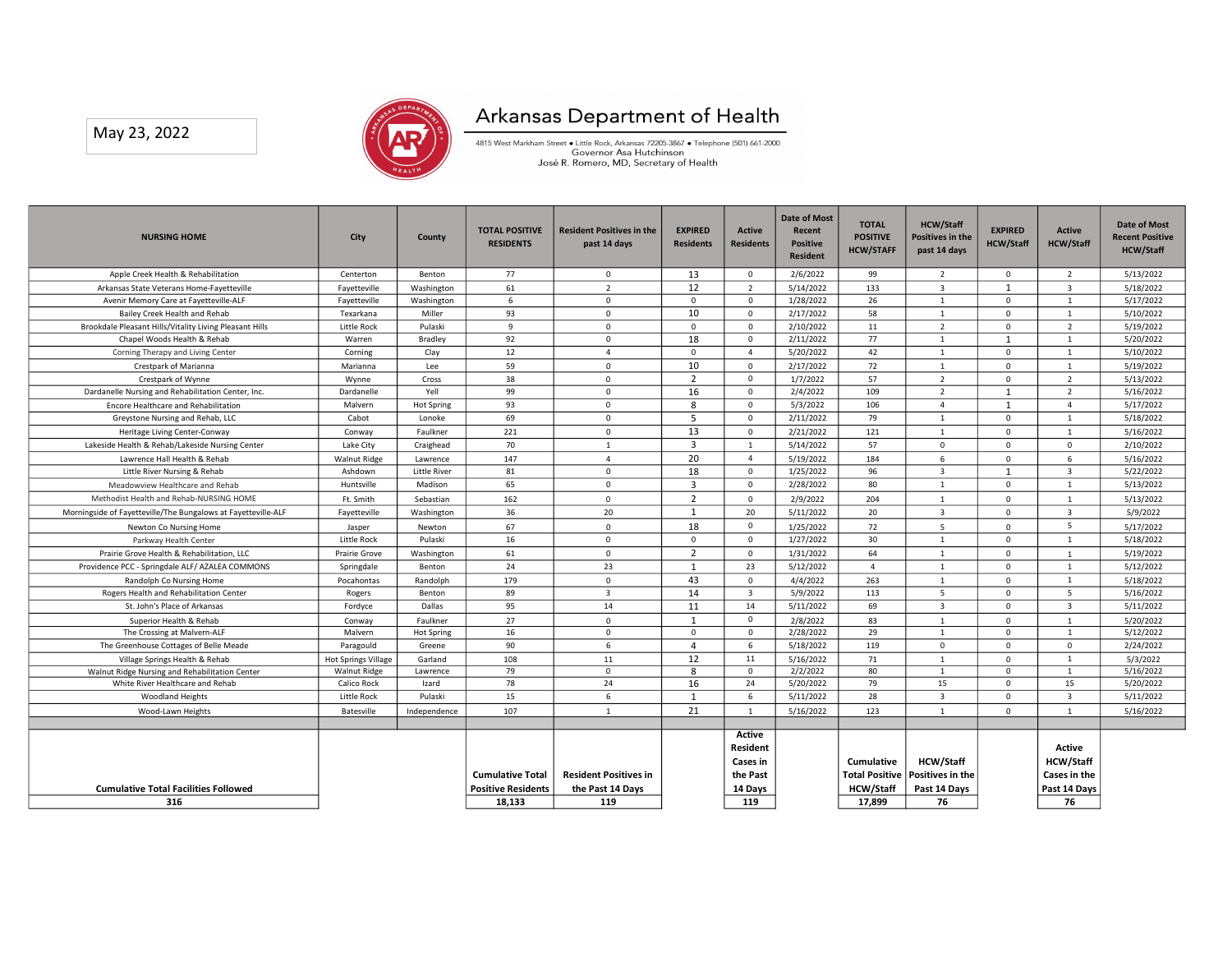

| May 23, 2022                                                                                      |                                            |                           |                           | Arkansas Department of Health                                                                                     |                               |                               |                               |                                     |                                  |                               |                                  |                                            |
|---------------------------------------------------------------------------------------------------|--------------------------------------------|---------------------------|---------------------------|-------------------------------------------------------------------------------------------------------------------|-------------------------------|-------------------------------|-------------------------------|-------------------------------------|----------------------------------|-------------------------------|----------------------------------|--------------------------------------------|
|                                                                                                   |                                            |                           |                           | 4815 West Markham Street . Little Rock, Arkansas 72205-3867 . Telephone (501) 661-2000<br>Governor Asa Hutchinson |                               |                               |                               |                                     |                                  |                               |                                  |                                            |
|                                                                                                   |                                            |                           |                           | José R. Romero, MD, Secretary of Health                                                                           |                               |                               |                               |                                     |                                  |                               |                                  |                                            |
|                                                                                                   |                                            |                           |                           |                                                                                                                   |                               |                               |                               |                                     |                                  |                               |                                  |                                            |
|                                                                                                   |                                            |                           | <b>TOTAL POSITIVE</b>     | <b>Resident Positives in the</b>                                                                                  | <b>EXPIRED</b>                | Active                        | <b>Date of Most</b><br>Recent | <b>TOTAL</b>                        | <b>HCW/Staff</b>                 | <b>EXPIRED</b>                | <b>Active</b>                    | Date of Most                               |
| <b>NURSING HOME</b>                                                                               | <b>City</b>                                | County                    | <b>RESIDENTS</b>          | past 14 days                                                                                                      | <b>Residents</b>              | <b>Residents</b>              | <b>Positive</b>               | <b>POSITIVE</b><br><b>HCW/STAFF</b> | Positives in the<br>past 14 days | <b>HCW/Staff</b>              | <b>HCW/Staff</b>                 | <b>Recent Positive</b><br><b>HCW/Staff</b> |
| Apple Creek Health & Rehabilitation                                                               | Centerton                                  | Benton                    | 77                        | $\mathbf 0$                                                                                                       | 13                            | $\mathbf{0}$                  | <b>Resident</b><br>2/6/2022   | 99                                  | $\overline{2}$                   | $\overline{0}$                | $\overline{2}$                   | 5/13/2022                                  |
| Arkansas State Veterans Home-Fayetteville                                                         | Fayetteville                               | Washington                | 61                        | $\overline{2}$                                                                                                    | 12                            | $\overline{2}$                | 5/14/2022                     | 133                                 | $\overline{\mathbf{3}}$          | $\mathbf{1}$                  | $\overline{\mathbf{3}}$          | 5/18/2022                                  |
| Avenir Memory Care at Fayetteville-ALF<br>Bailey Creek Health and Rehab                           | Fayetteville<br>Texarkana                  | Washington<br>Miller      | 6<br>93                   | $\mathbf 0$<br>$\mathsf 0$                                                                                        | $\mathbf 0$<br>10             | $\mathbf 0$<br>$\mathsf 0$    | 1/28/2022<br>2/17/2022        | 26<br>58                            | $\mathbf{1}$<br>$\mathbf{1}$     | $\mathbf 0$<br>$\mathbf 0$    | 1<br>$\mathbf{1}$                | 5/17/2022<br>5/10/2022                     |
| Brookdale Pleasant Hills/Vitality Living Pleasant Hills                                           | Little Rock                                | Pulaski                   | $\overline{9}$            | $\mathbf 0$                                                                                                       | $\mathbf 0$                   | $\mathbf 0$                   | 2/10/2022                     | 11                                  | $\overline{2}$                   | $\mathbf{0}$                  | $\overline{2}$                   | 5/19/2022                                  |
| Chapel Woods Health & Rehab<br>Corning Therapy and Living Center                                  | Warren<br>Corning                          | Bradley<br>Clay           | 92<br>12                  | $\mathbf 0$<br>$\overline{4}$                                                                                     | 18<br>$\mathbf 0$             | $\mathbf 0$<br>$\overline{4}$ | 2/11/2022<br>5/20/2022        | 77<br>42                            | $\mathbf{1}$<br>$\mathbf{1}$     | $\mathbf{1}$<br>$\mathbf 0$   | $\mathbf{1}$<br>$\mathbf{1}$     | 5/20/2022<br>5/10/2022                     |
| Crestpark of Marianna                                                                             | Marianna                                   | Lee                       | 59                        | $\mathbf 0$                                                                                                       | 10                            | $\mathbf 0$                   | 2/17/2022                     | 72                                  | $\mathbf{1}$                     | $\mathbf 0$                   | $\mathbf{1}$                     | 5/19/2022                                  |
| Crestpark of Wynne                                                                                | Wynne                                      | Cross                     | 38                        | $\mathsf 0$                                                                                                       | $\overline{2}$                | $\mathsf 0$                   | 1/7/2022                      | 57                                  | $\overline{2}$                   | $\mathsf 0$                   | $\overline{2}$                   | 5/13/2022                                  |
| Dardanelle Nursing and Rehabilitation Center, Inc.<br><b>Encore Healthcare and Rehabilitation</b> | Dardanelle<br>Malvern                      | Yell<br><b>Hot Spring</b> | 99<br>93                  | $\mathbf 0$<br>$\mathbf 0$                                                                                        | 16<br>8                       | $\mathbf{0}$<br>$\mathbf 0$   | 2/4/2022<br>5/3/2022          | 109<br>106                          | $\overline{2}$<br>$\overline{4}$ | 1<br>1                        | 2<br>$\overline{4}$              | 5/16/2022<br>5/17/2022                     |
| Greystone Nursing and Rehab, LLC                                                                  | Cabot                                      | Lonoke                    | 69                        | $\mathbf 0$                                                                                                       | 5                             | $\mathsf 0$                   | 2/11/2022                     | 79                                  | $\mathbf{1}$                     | $\mathbf 0$                   | $\mathbf{1}$                     | 5/18/2022                                  |
| Heritage Living Center-Conway                                                                     | Conway                                     | Faulkner                  | 221                       | $\mathbf 0$                                                                                                       | 13                            | $\mathbf 0$                   | 2/21/2022                     | 121                                 | $\mathbf{1}$                     | $\mathbf 0$                   | $\mathbf{1}$                     | 5/16/2022                                  |
| Lakeside Health & Rehab/Lakeside Nursing Center                                                   | Lake City                                  | Craighead                 | 70                        | $\mathbf{1}$                                                                                                      | 3                             | $\mathbf{1}$                  | 5/14/2022                     | 57                                  | 0                                | $\overline{0}$                | $\mathsf{o}$                     | 2/10/2022                                  |
| Lawrence Hall Health & Rehab<br>Little River Nursing & Rehab                                      | <b>Walnut Ridge</b><br>Ashdown             | Lawrence<br>Little River  | 147<br>81                 | $\overline{4}$<br>$\mathbf{0}$                                                                                    | 20<br>18                      | $\overline{4}$<br>$\mathsf 0$ | 5/19/2022<br>1/25/2022        | 184<br>96                           | 6<br>$\overline{\mathbf{3}}$     | $\mathsf 0$<br>$\mathbf{1}$   | 6<br>$\overline{\mathbf{3}}$     | 5/16/2022<br>5/22/2022                     |
| Meadowview Healthcare and Rehab                                                                   | Huntsville                                 | Madison                   | 65                        | $\mathbf 0$                                                                                                       | $\overline{\mathbf{3}}$       | $\mathbf 0$                   | 2/28/2022                     | 80                                  | $\mathbf{1}$                     | $\overline{0}$                | $\mathbf{1}$                     | 5/13/2022                                  |
| Methodist Health and Rehab-NURSING HOME                                                           | Ft. Smith                                  | Sebastian                 | 162                       | $\mathsf 0$                                                                                                       | $\overline{2}$                | $\mathbf 0$                   | 2/9/2022                      | 204                                 | $\mathbf{1}$                     | $\mathsf 0$                   | $\mathbf{1}$                     | 5/13/2022                                  |
|                                                                                                   |                                            | Washington                | 36                        | 20                                                                                                                | $\mathbf{1}$                  | 20                            | 5/11/2022                     | 20                                  | $\overline{\mathbf{3}}$          | $\mathbf 0$                   | $\overline{\mathbf{3}}$          | 5/9/2022                                   |
| Morningside of Fayetteville/The Bungalows at Fayetteville-ALF                                     | Fayetteville                               |                           |                           |                                                                                                                   |                               |                               |                               |                                     |                                  |                               |                                  |                                            |
| Newton Co Nursing Home                                                                            | Jasper                                     | Newton                    | 67                        | $\mathsf 0$                                                                                                       | 18                            | $\mathsf 0$                   | 1/25/2022                     | 72                                  | 5                                | $\mathsf 0$                   | 5                                | 5/17/2022                                  |
| Parkway Health Center<br>Prairie Grove Health & Rehabilitation, LLC                               | Little Rock<br>Prairie Grove               | Pulaski<br>Washington     | 16<br>61                  | $\mathbf 0$<br>$\mathsf 0$                                                                                        | $\mathsf 0$<br>$\overline{2}$ | $\mathsf 0$<br>$\mathsf 0$    | 1/27/2022<br>1/31/2022        | 30<br>64                            | $\mathbf{1}$<br>$\mathbf{1}$     | $\mathsf 0$<br>$\mathsf 0$    | $\mathbf{1}$<br>$\mathbf{1}$     | 5/18/2022<br>5/19/2022                     |
| Providence PCC - Springdale ALF/ AZALEA COMMONS                                                   | Springdale                                 | Benton                    | 24                        | 23                                                                                                                | $\mathbf{1}$                  | 23                            | 5/12/2022                     | $\overline{4}$                      | $\mathbf{1}$                     | $\mathsf 0$                   | $\mathbf{1}$                     | 5/12/2022                                  |
| Randolph Co Nursing Home                                                                          | Pocahontas                                 | Randolph                  | 179                       | $\mathsf 0$                                                                                                       | 43                            | $\mathsf 0$                   | 4/4/2022                      | 263                                 | $\mathbf{1}$                     | $\mathsf 0$                   | $1\,$                            | 5/18/2022                                  |
| Rogers Health and Rehabilitation Center<br>St. John's Place of Arkansas                           | Rogers                                     | Benton<br>Dallas          | 89<br>95                  | $\overline{\mathbf{3}}$<br>14                                                                                     | 14<br>11                      | $\overline{\mathbf{3}}$<br>14 | 5/9/2022                      | 113<br>69                           | 5<br>$\overline{\mathbf{3}}$     | $\mathsf 0$<br>$\mathsf 0$    | 5<br>$\overline{\mathbf{3}}$     | 5/16/2022<br>5/11/2022                     |
| Superior Health & Rehab                                                                           | Fordyce<br>Conway                          | Faulkner                  | 27                        | $\mathsf 0$                                                                                                       | 1                             | $\mathsf 0$                   | 5/11/2022<br>2/8/2022         | 83                                  | $\mathbf{1}$                     | $\mathsf 0$                   | $\mathbf{1}$                     | 5/20/2022                                  |
| The Crossing at Malvern-ALF                                                                       | Malvern                                    | Hot Spring                | 16                        | $\mathsf 0$                                                                                                       | $\mathsf{O}\xspace$           | $\mathsf 0$                   | 2/28/2022                     | 29                                  | $1\,$                            | $\mathbf{0}$                  | $\mathbf{1}$                     | 5/12/2022                                  |
| The Greenhouse Cottages of Belle Meade                                                            | Paragould                                  | Greene                    | 90                        | 6                                                                                                                 | $\overline{4}$                | 6                             | 5/18/2022                     | 119                                 | $\mathsf 0$                      | $\mathsf 0$                   | $\mathsf 0$                      | 2/24/2022                                  |
| Village Springs Health & Rehab<br>Walnut Ridge Nursing and Rehabilitation Center                  | <b>Hot Springs Village</b><br>Walnut Ridge | Garland<br>Lawrence       | 108<br>79                 | 11<br>$\mathbf 0$                                                                                                 | 12<br>8                       | 11<br>$\mathbf 0$             | 5/16/2022<br>2/2/2022         | 71<br>80                            | $1\,$<br>$\mathbf{1}$            | $\mathsf 0$<br>$\overline{0}$ | $\mathbf 1$<br>$\mathbf{1}$      | 5/3/2022<br>5/16/2022                      |
| White River Healthcare and Rehab                                                                  | Calico Rock                                | Izard                     | 78                        | 24                                                                                                                | 16                            | 24                            | 5/20/2022                     | 79                                  | 15                               | $\mathsf 0$                   | 15                               | 5/20/2022                                  |
| Woodland Heights                                                                                  | Little Rock                                | Pulaski                   | 15                        | 6                                                                                                                 | $\mathbf{1}$                  | 6                             | 5/11/2022                     | 28                                  | $\overline{\mathbf{3}}$          | $\mathsf 0$                   | $\overline{\mathbf{3}}$          | 5/11/2022                                  |
| Wood-Lawn Heights                                                                                 | Batesville                                 | Independence              | 107                       | $\mathbf 1$                                                                                                       | 21                            | $\mathbf{1}$                  | 5/16/2022                     | 123                                 | $\mathbf{1}$                     | $\mathbf 0$                   | $1\,$                            | 5/16/2022                                  |
|                                                                                                   |                                            |                           |                           |                                                                                                                   |                               | Active                        |                               |                                     |                                  |                               |                                  |                                            |
|                                                                                                   |                                            |                           |                           |                                                                                                                   |                               | Resident                      |                               |                                     |                                  |                               | Active                           |                                            |
|                                                                                                   |                                            |                           | <b>Cumulative Total</b>   | <b>Resident Positives in</b>                                                                                      |                               | Cases in<br>the Past          |                               | Cumulative<br><b>Total Positive</b> | HCW/Staff<br>Positives in the    |                               | <b>HCW/Staff</b><br>Cases in the |                                            |
| <b>Cumulative Total Facilities Followed</b>                                                       |                                            |                           | <b>Positive Residents</b> | the Past 14 Days                                                                                                  |                               | 14 Days                       |                               | <b>HCW/Staff</b>                    | Past 14 Days                     |                               | Past 14 Days                     |                                            |